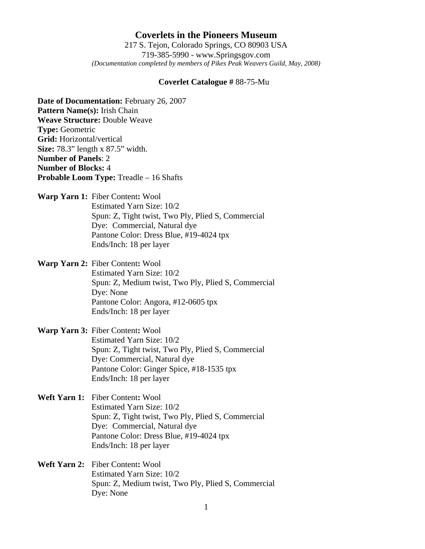## **Coverlets in the Pioneers Museum** 217 S. Tejon, Colorado Springs, CO 80903 USA 719-385-5990 - www.Springsgov.com

*(Documentation completed by members of Pikes Peak Weavers Guild, May, 2008)* 

## **Coverlet Catalogue #** 88-75-Mu

**Date of Documentation:** February 26, 2007 **Pattern Name(s):** Irish Chain **Weave Structure:** Double Weave **Type:** Geometric **Grid:** Horizontal/vertical **Size:** 78.3" length x 87.5" width. **Number of Panels**: 2 **Number of Blocks:** 4 **Probable Loom Type:** Treadle – 16 Shafts

**Warp Yarn 1:** Fiber Content**:** Wool Estimated Yarn Size: 10/2 Spun: Z, Tight twist, Two Ply, Plied S, Commercial Dye: Commercial, Natural dye Pantone Color: Dress Blue, #19-4024 tpx Ends/Inch: 18 per layer

**Warp Yarn 2:** Fiber Content**:** Wool Estimated Yarn Size: 10/2 Spun: Z, Medium twist, Two Ply, Plied S, Commercial Dye: None Pantone Color: Angora, #12-0605 tpx Ends/Inch: 18 per layer

**Warp Yarn 3:** Fiber Content**:** Wool Estimated Yarn Size: 10/2 Spun: Z, Tight twist, Two Ply, Plied S, Commercial Dye: Commercial, Natural dye Pantone Color: Ginger Spice, #18-1535 tpx Ends/Inch: 18 per layer

**Weft Yarn 1:** Fiber Content**:** Wool Estimated Yarn Size: 10/2 Spun: Z, Tight twist, Two Ply, Plied S, Commercial Dye: Commercial, Natural dye Pantone Color: Dress Blue, #19-4024 tpx Ends/Inch: 18 per layer

**Weft Yarn 2:** Fiber Content**:** Wool Estimated Yarn Size: 10/2 Spun: Z, Medium twist, Two Ply, Plied S, Commercial Dye: None